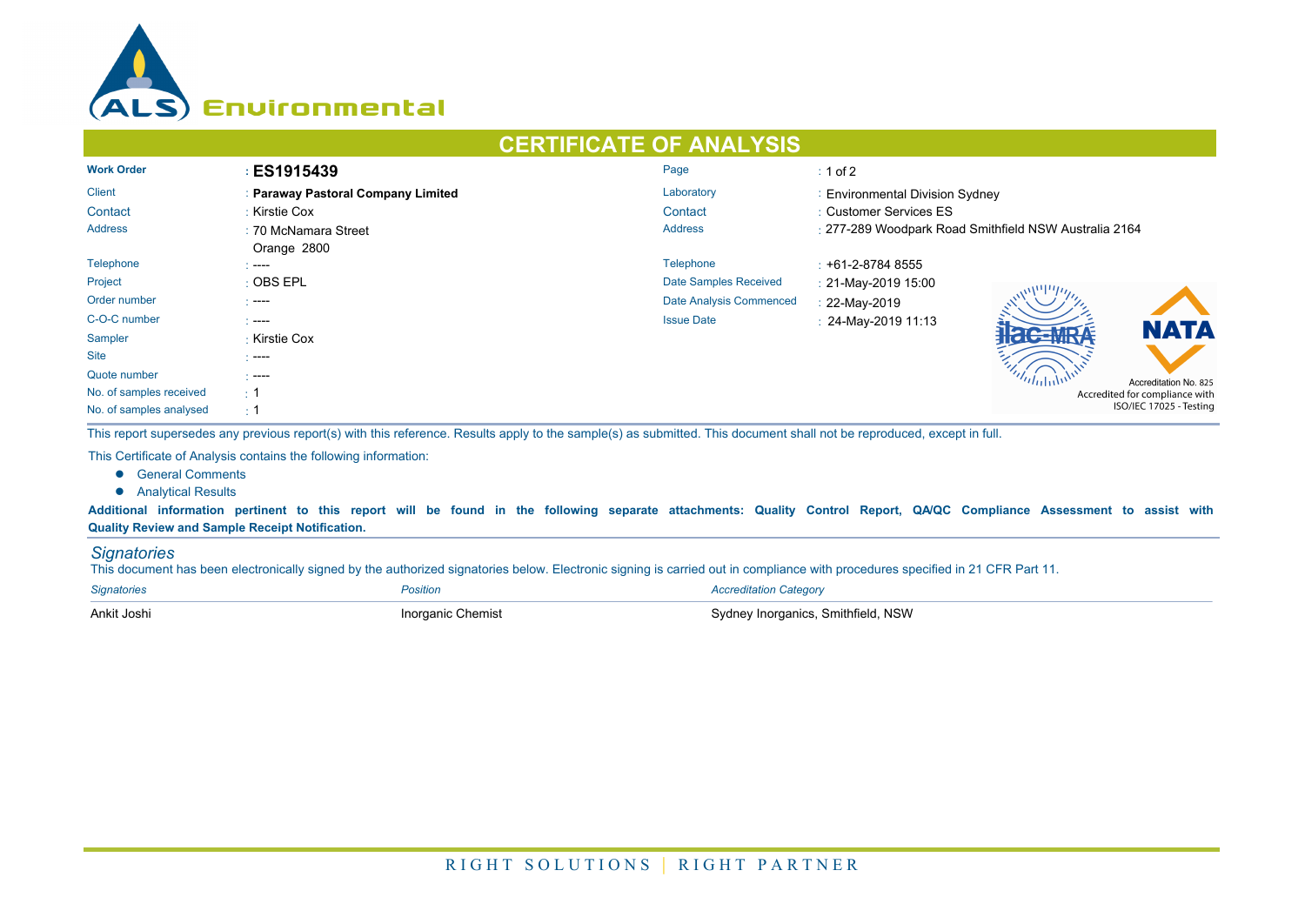

## **CERTIFICATE OF ANALYSIS**

| <b>Work Order</b>       | <b>ES1915439</b>                   | Page                           | $\div$ 1 of 2                                         |  |  |  |
|-------------------------|------------------------------------|--------------------------------|-------------------------------------------------------|--|--|--|
| <b>Client</b>           | : Paraway Pastoral Company Limited | Laboratory                     | : Environmental Division Sydney                       |  |  |  |
| Contact                 | : Kirstie Cox                      | Contact                        | : Customer Services ES                                |  |  |  |
| <b>Address</b>          | : 70 McNamara Street               | <b>Address</b>                 | : 277-289 Woodpark Road Smithfield NSW Australia 2164 |  |  |  |
|                         | Orange 2800                        |                                |                                                       |  |  |  |
| Telephone               | .                                  | <b>Telephone</b>               | $: +61 - 2 - 87848555$                                |  |  |  |
| Project                 | $\pm$ OBS EPL                      | Date Samples Received          | : 21-May-2019 15:00                                   |  |  |  |
| Order number            | $\sim$ ----                        | <b>Date Analysis Commenced</b> | : 22-May-2019                                         |  |  |  |
| C-O-C number            | .                                  | <b>Issue Date</b>              | : 24-May-2019 11:13<br><b>NATA</b>                    |  |  |  |
| Sampler                 | : Kirstie Cox                      |                                |                                                       |  |  |  |
| <b>Site</b>             | $---$                              |                                |                                                       |  |  |  |
| Quote number            | $---$                              |                                | Accreditation No. 825                                 |  |  |  |
| No. of samples received | $\div$ 1                           |                                | Accredited for compliance with                        |  |  |  |
| No. of samples analysed | $\div$ 1                           |                                | ISO/IEC 17025 - Testing                               |  |  |  |

This report supersedes any previous report(s) with this reference. Results apply to the sample(s) as submitted. This document shall not be reproduced, except in full.

This Certificate of Analysis contains the following information:

- **e** General Comments
- **•** Analytical Results

Additional information pertinent to this report will be found in the following separate attachments: Quality Control Report, QA/QC Compliance Assessment to assist with **Quality Review and Sample Receipt Notification.**

## *Signatories*

This document has been electronically signed by the authorized signatories below. Electronic signing is carried out in compliance with procedures specified in 21 CFR Part 11.

| <b>Signatories</b> | Position          | <b>Accreditation Category</b>      |
|--------------------|-------------------|------------------------------------|
| Ankit Joshi        | Inorganic Chemist | Sydney Inorganics, Smithfield, NSW |